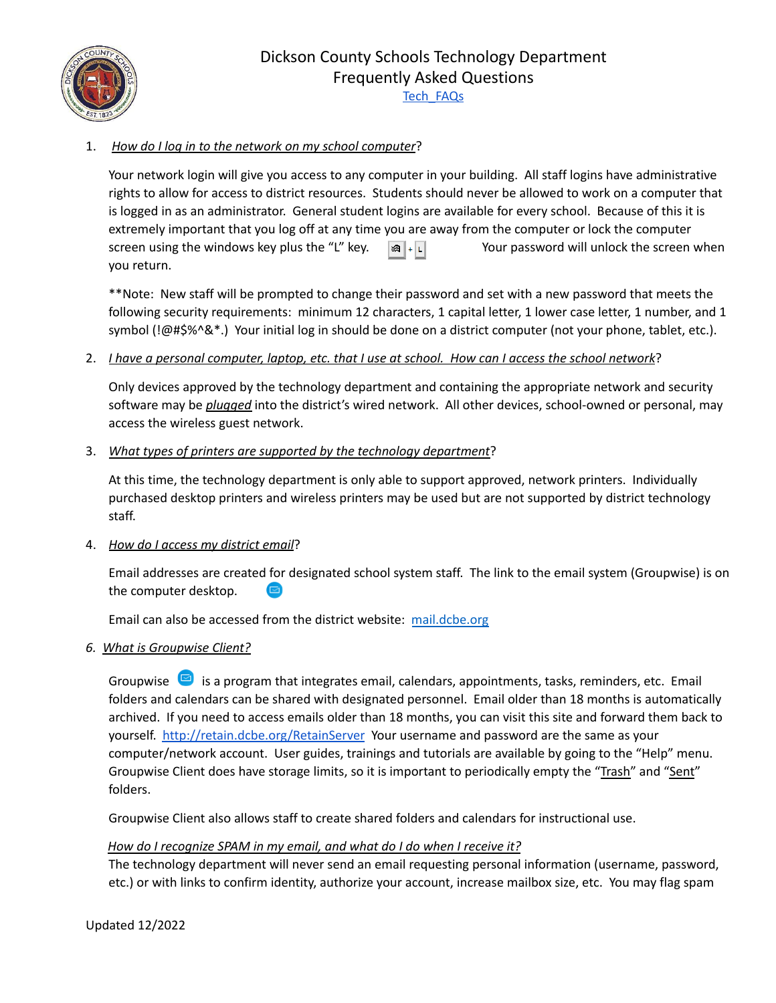Dickson County Schools Technology Department Frequently Asked Questions

[Tech\\_FAQs](http://www.dcstn.org/Downloads/Tech_FAQs4.pdf)



# 1. *How do I log in to the network on my school computer*?

Your network login will give you access to any computer in your building. All staff logins have administrative rights to allow for access to district resources. Students should never be allowed to work on a computer that is logged in as an administrator. General student logins are available for every school. Because of this it is extremely important that you log off at any time you are away from the computer or lock the computer screen using the windows key plus the "L" key.  $\mathbb{R}$   $\|\cdot\|$  Your password will unlock the screen when you return.

\*\*Note: New staff will be prompted to change their password and set with a new password that meets the following security requirements: minimum 12 characters, 1 capital letter, 1 lower case letter, 1 number, and 1 symbol (!@#\$%^&\*.) Your initial log in should be done on a district computer (not your phone, tablet, etc.).

## 2. *Lhave a personal computer, laptop, etc. that I use at school. How can I access the school network*?

Only devices approved by the technology department and containing the appropriate network and security software may be *plugged* into the district's wired network. All other devices, school-owned or personal, may access the wireless guest network.

## 3. *What types of printers are supported by the technology department*?

At this time, the technology department is only able to support approved, network printers. Individually purchased desktop printers and wireless printers may be used but are not supported by district technology staff.

## 4. *How do I access my district email*?

Email addresses are created for designated school system staff. The link to the email system (Groupwise) is on the computer desktop. a

Email can also be accessed from the district website: [mail.dcbe.org](https://mail.dcbe.org/gw/webacc)

#### *6. What is Groupwise Client?*

Groupwise  $\blacksquare$  is a program that integrates email, calendars, appointments, tasks, reminders, etc. Email folders and calendars can be shared with designated personnel. Email older than 18 months is automatically archived. If you need to access emails older than 18 months, you can visit this site and forward them back to yourself. <http://retain.dcbe.org/RetainServer> Your username and password are the same as your computer/network account. User guides, trainings and tutorials are available by going to the "Help" menu. Groupwise Client does have storage limits, so it is important to periodically empty the "Trash" and "Sent" folders.

Groupwise Client also allows staff to create shared folders and calendars for instructional use.

## *How do I recognize SPAM in my email, and what do I do when I receive it?*

The technology department will never send an email requesting personal information (username, password, etc.) or with links to confirm identity, authorize your account, increase mailbox size, etc. You may flag spam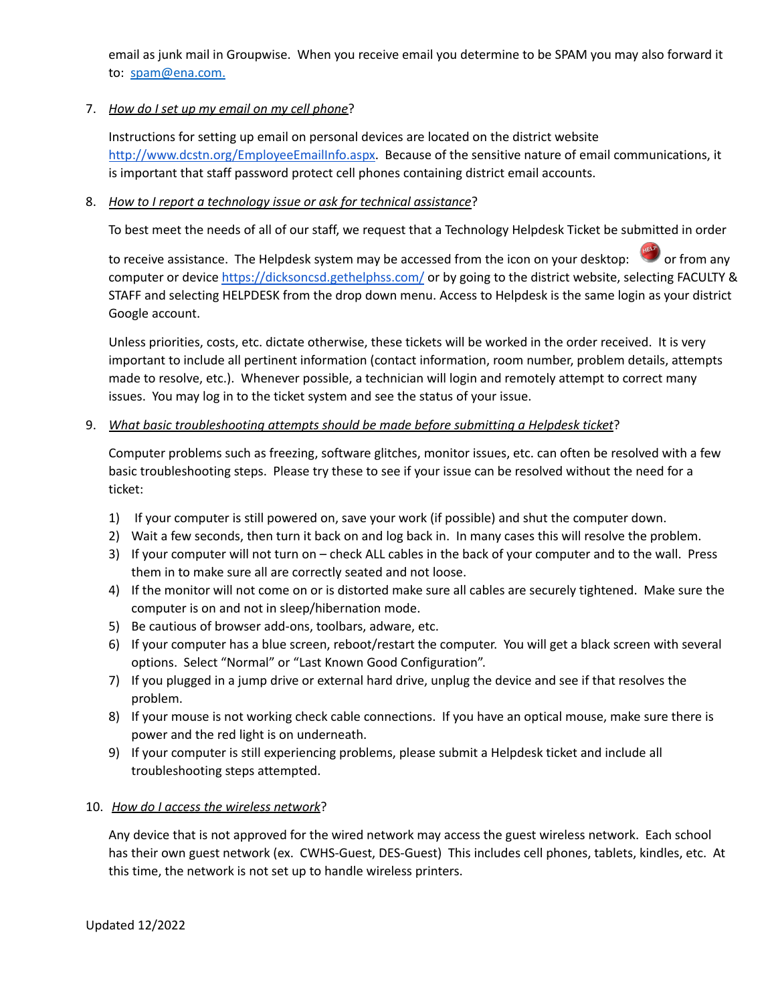email as junk mail in Groupwise. When you receive email you determine to be SPAM you may also forward it to: [spam@ena.com](mailto:spam@ena.com).

### 7. *How do I set up my email on my cell phone*?

Instructions for setting up email on personal devices are located on the district website <http://www.dcstn.org/EmployeeEmailInfo.aspx>. Because of the sensitive nature of email communications, it is important that staff password protect cell phones containing district email accounts.

### 8. *How to I report a technology issue or ask for technical assistance*?

To best meet the needs of all of our staff, we request that a Technology Helpdesk Ticket be submitted in order

to receive assistance. The Helpdesk system may be accessed from the icon on your desktop: or from any computer or device <https://dicksoncsd.gethelphss.com/> or by going to the district website, selecting FACULTY & STAFF and selecting HELPDESK from the drop down menu. Access to Helpdesk is the same login as your district Google account.

Unless priorities, costs, etc. dictate otherwise, these tickets will be worked in the order received. It is very important to include all pertinent information (contact information, room number, problem details, attempts made to resolve, etc.). Whenever possible, a technician will login and remotely attempt to correct many issues. You may log in to the ticket system and see the status of your issue.

### 9. *What basic troubleshooting attempts should be made before submitting a Helpdesk ticket*?

Computer problems such as freezing, software glitches, monitor issues, etc. can often be resolved with a few basic troubleshooting steps. Please try these to see if your issue can be resolved without the need for a ticket:

- 1) If your computer is still powered on, save your work (if possible) and shut the computer down.
- 2) Wait a few seconds, then turn it back on and log back in. In many cases this will resolve the problem.
- 3) If your computer will not turn on check ALL cables in the back of your computer and to the wall. Press them in to make sure all are correctly seated and not loose.
- 4) If the monitor will not come on or is distorted make sure all cables are securely tightened. Make sure the computer is on and not in sleep/hibernation mode.
- 5) Be cautious of browser add-ons, toolbars, adware, etc.
- 6) If your computer has a blue screen, reboot/restart the computer. You will get a black screen with several options. Select "Normal" or "Last Known Good Configuration".
- 7) If you plugged in a jump drive or external hard drive, unplug the device and see if that resolves the problem.
- 8) If your mouse is not working check cable connections. If you have an optical mouse, make sure there is power and the red light is on underneath.
- 9) If your computer is still experiencing problems, please submit a Helpdesk ticket and include all troubleshooting steps attempted.

#### 10. *How do I access the wireless network*?

Any device that is not approved for the wired network may access the guest wireless network. Each school has their own guest network (ex. CWHS-Guest, DES-Guest) This includes cell phones, tablets, kindles, etc. At this time, the network is not set up to handle wireless printers.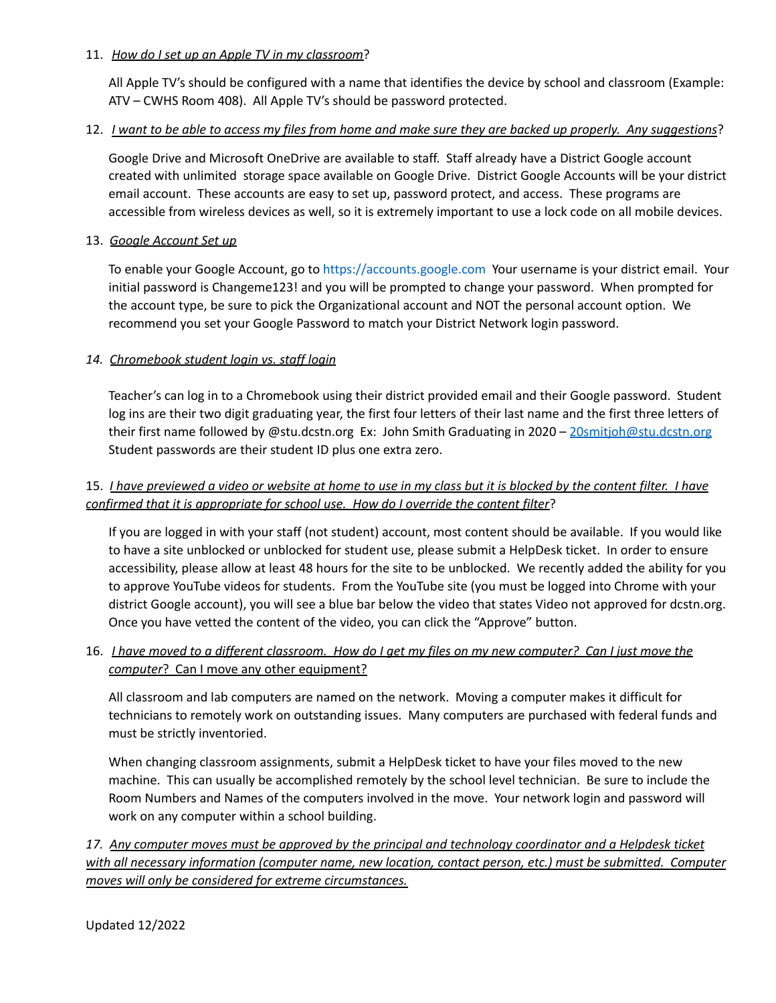### 11. *How do I set up an Apple TV in my classroom*?

All Apple TV's should be configured with a name that identifies the device by school and classroom (Example: ATV – CWHS Room 408). All Apple TV's should be password protected.

## 12. *I want to be able to access my files from home and make sure they are backed up properly. Any suggestions?*

Google Drive and Microsoft OneDrive are available to staff. Staff already have a District Google account created with unlimited storage space available on Google Drive. District Google Accounts will be your district email account. These accounts are easy to set up, password protect, and access. These programs are accessible from wireless devices as well, so it is extremely important to use a lock code on all mobile devices.

### 13. *Google Account Set up*

To enable your Google Account, go to <https://accounts.google.com> Your username is your district email. Your initial password is Changeme123! and you will be prompted to change your password. When prompted for the account type, be sure to pick the Organizational account and NOT the personal account option. We recommend you set your Google Password to match your District Network login password.

## *14. Chromebook student login vs. staff login*

Teacher's can log in to a Chromebook using their district provided email and their Google password. Student log ins are their two digit graduating year, the first four letters of their last name and the first three letters of their first name followed by @stu.dcstn.org Ex: John Smith Graduating in 2020 - [20smitjoh@stu.dcstn.org](mailto:20smitbob@stu.dcbe.org) Student passwords are their student ID plus one extra zero.

# 15. *I have previewed a video or website at home to use in my class but it is blocked by the content filter. I have confirmed that it is appropriate for school use. How do I override the content filter*?

If you are logged in with your staff (not student) account, most content should be available. If you would like to have a site unblocked or unblocked for student use, please submit a HelpDesk ticket. In order to ensure accessibility, please allow at least 48 hours for the site to be unblocked. We recently added the ability for you to approve YouTube videos for students. From the YouTube site (you must be logged into Chrome with your district Google account), you will see a blue bar below the video that states Video not approved for dcstn.org. Once you have vetted the content of the video, you can click the "Approve" button.

## 16. *I have moved to a different classroom. How do I get my files on my new computer? Can I just move the computer*? Can I move any other equipment?

All classroom and lab computers are named on the network. Moving a computer makes it difficult for technicians to remotely work on outstanding issues. Many computers are purchased with federal funds and must be strictly inventoried.

When changing classroom assignments, submit a HelpDesk ticket to have your files moved to the new machine. This can usually be accomplished remotely by the school level technician. Be sure to include the Room Numbers and Names of the computers involved in the move. Your network login and password will work on any computer within a school building.

*17. Any computer moves must be approved by the principal and technology coordinator and a Helpdesk ticket with all necessary information (computer name, new location, contact person, etc.) must be submitted. Computer moves will only be considered for extreme circumstances.*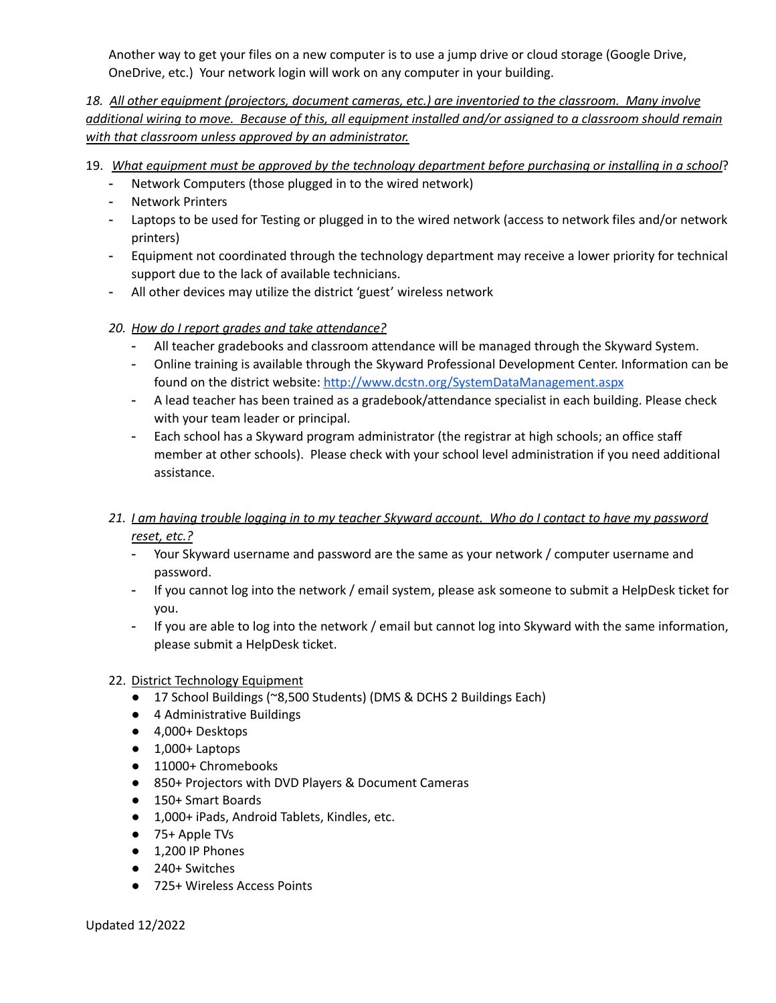Another way to get your files on a new computer is to use a jump drive or cloud storage (Google Drive, OneDrive, etc.) Your network login will work on any computer in your building.

*18. All other equipment (projectors, document cameras, etc.) are inventoried to the classroom. Many involve* additional wiring to move. Because of this, all equipment installed and/or assigned to a classroom should remain *with that classroom unless approved by an administrator.*

- 19. *What equipment must be approved by the technology department before purchasing or installing in a school*?
	- Network Computers (those plugged in to the wired network)
	- Network Printers
	- Laptops to be used for Testing or plugged in to the wired network (access to network files and/or network printers)
	- Equipment not coordinated through the technology department may receive a lower priority for technical support due to the lack of available technicians.
	- All other devices may utilize the district 'guest' wireless network
	- *20. How do I report grades and take attendance?*
		- All teacher gradebooks and classroom attendance will be managed through the Skyward System.
		- Online training is available through the Skyward Professional Development Center. Information can be found on the district website: <http://www.dcstn.org/SystemDataManagement.aspx>
		- A lead teacher has been trained as a gradebook/attendance specialist in each building. Please check with your team leader or principal.
		- Each school has a Skyward program administrator (the registrar at high schools; an office staff member at other schools). Please check with your school level administration if you need additional assistance.
	- 21. I am having trouble logging in to my teacher Skyward account. Who do I contact to have my password *reset, etc.?*
		- Your Skyward username and password are the same as your network / computer username and password.
		- If you cannot log into the network / email system, please ask someone to submit a HelpDesk ticket for you.
		- If you are able to log into the network / email but cannot log into Skyward with the same information, please submit a HelpDesk ticket.
	- 22. District Technology Equipment
		- 17 School Buildings (~8,500 Students) (DMS & DCHS 2 Buildings Each)
		- 4 Administrative Buildings
		- 4,000+ Desktops
		- 1,000+ Laptops
		- 11000+ Chromebooks
		- 850+ Projectors with DVD Players & Document Cameras
		- 150+ Smart Boards
		- 1,000+ iPads, Android Tablets, Kindles, etc.
		- 75+ Apple TVs
		- 1,200 IP Phones
		- 240+ Switches
		- 725+ Wireless Access Points